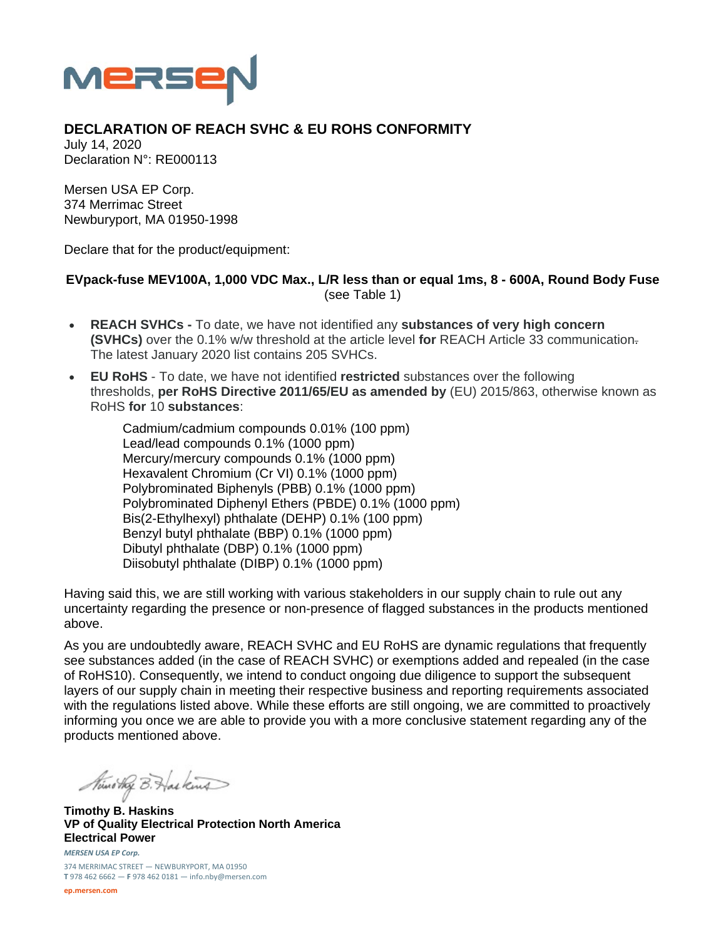

## **DECLARATION OF REACH SVHC & EU ROHS CONFORMITY**

July 14, 2020 Declaration N°: RE000113

Mersen USA EP Corp. 374 Merrimac Street Newburyport, MA 01950-1998

Declare that for the product/equipment:

## **EVpack-fuse MEV100A, 1,000 VDC Max., L/R less than or equal 1ms, 8 - 600A, Round Body Fuse**  (see Table 1)

- **REACH SVHCs** To date, we have not identified any **substances of very high concern (SVHCs)** over the 0.1% w/w threshold at the article level **for** REACH Article 33 communication. The latest January 2020 list contains 205 SVHCs.
- **EU RoHS** To date, we have not identified **restricted** substances over the following thresholds, **per RoHS Directive 2011/65/EU as amended by** (EU) 2015/863, otherwise known as RoHS **for** 10 **substances**:

Cadmium/cadmium compounds 0.01% (100 ppm) Lead/lead compounds 0.1% (1000 ppm) Mercury/mercury compounds 0.1% (1000 ppm) Hexavalent Chromium (Cr VI) 0.1% (1000 ppm) Polybrominated Biphenyls (PBB) 0.1% (1000 ppm) Polybrominated Diphenyl Ethers (PBDE) 0.1% (1000 ppm) Bis(2-Ethylhexyl) phthalate (DEHP) 0.1% (100 ppm) Benzyl butyl phthalate (BBP) 0.1% (1000 ppm) Dibutyl phthalate (DBP) 0.1% (1000 ppm) Diisobutyl phthalate (DIBP) 0.1% (1000 ppm)

Having said this, we are still working with various stakeholders in our supply chain to rule out any uncertainty regarding the presence or non-presence of flagged substances in the products mentioned above.

As you are undoubtedly aware, REACH SVHC and EU RoHS are dynamic regulations that frequently see substances added (in the case of REACH SVHC) or exemptions added and repealed (in the case of RoHS10). Consequently, we intend to conduct ongoing due diligence to support the subsequent layers of our supply chain in meeting their respective business and reporting requirements associated with the regulations listed above. While these efforts are still ongoing, we are committed to proactively informing you once we are able to provide you with a more conclusive statement regarding any of the products mentioned above.

Nuno they B. Has kind

*MERSEN USA EP Corp.* **Timothy B. Haskins VP of Quality Electrical Protection North America Electrical Power** 

374 MERRIMAC STREET — NEWBURYPORT, MA 01950 **T** 978 462 6662 — **F** 978 462 0181 — info.nby@mersen.com

**ep.mersen.com**